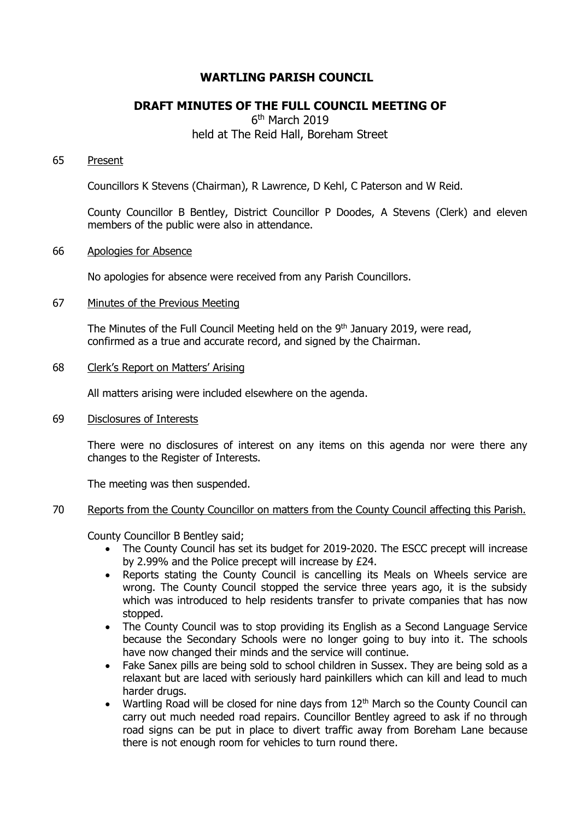# **WARTLING PARISH COUNCIL**

# **DRAFT MINUTES OF THE FULL COUNCIL MEETING OF**

6<sup>th</sup> March 2019 held at The Reid Hall, Boreham Street

## 65 Present

Councillors K Stevens (Chairman), R Lawrence, D Kehl, C Paterson and W Reid.

County Councillor B Bentley, District Councillor P Doodes, A Stevens (Clerk) and eleven members of the public were also in attendance.

## 66 Apologies for Absence

No apologies for absence were received from any Parish Councillors.

## 67 Minutes of the Previous Meeting

The Minutes of the Full Council Meeting held on the 9<sup>th</sup> January 2019, were read, confirmed as a true and accurate record, and signed by the Chairman.

## 68 Clerk's Report on Matters' Arising

All matters arising were included elsewhere on the agenda.

69 Disclosures of Interests

There were no disclosures of interest on any items on this agenda nor were there any changes to the Register of Interests.

The meeting was then suspended.

# 70 Reports from the County Councillor on matters from the County Council affecting this Parish.

County Councillor B Bentley said;

- The County Council has set its budget for 2019-2020. The ESCC precept will increase by 2.99% and the Police precept will increase by £24.
- Reports stating the County Council is cancelling its Meals on Wheels service are wrong. The County Council stopped the service three years ago, it is the subsidy which was introduced to help residents transfer to private companies that has now stopped.
- The County Council was to stop providing its English as a Second Language Service because the Secondary Schools were no longer going to buy into it. The schools have now changed their minds and the service will continue.
- Fake Sanex pills are being sold to school children in Sussex. They are being sold as a relaxant but are laced with seriously hard painkillers which can kill and lead to much harder drugs.
- Wartling Road will be closed for nine days from  $12<sup>th</sup>$  March so the County Council can carry out much needed road repairs. Councillor Bentley agreed to ask if no through road signs can be put in place to divert traffic away from Boreham Lane because there is not enough room for vehicles to turn round there.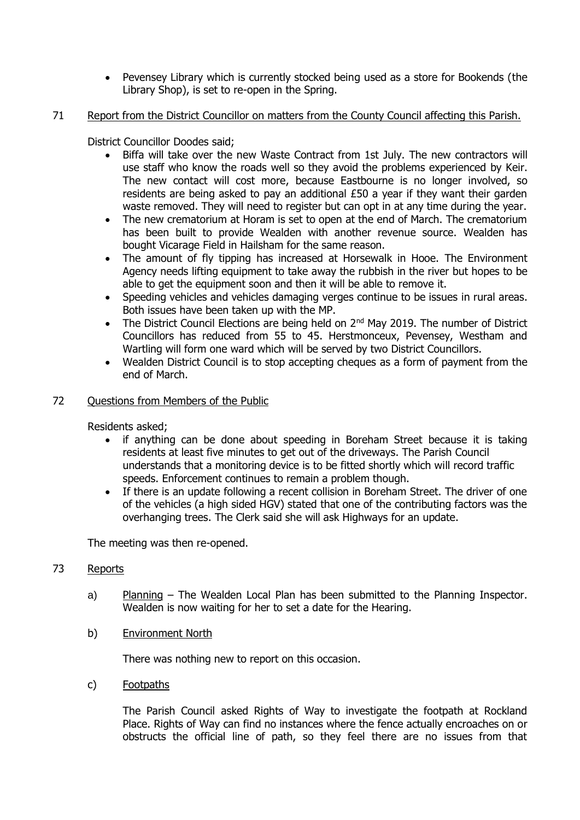Pevensey Library which is currently stocked being used as a store for Bookends (the Library Shop), is set to re-open in the Spring.

# 71 Report from the District Councillor on matters from the County Council affecting this Parish.

District Councillor Doodes said;

- Biffa will take over the new Waste Contract from 1st July. The new contractors will use staff who know the roads well so they avoid the problems experienced by Keir. The new contact will cost more, because Eastbourne is no longer involved, so residents are being asked to pay an additional  $£50$  a year if they want their garden waste removed. They will need to register but can opt in at any time during the year.
- The new crematorium at Horam is set to open at the end of March. The crematorium has been built to provide Wealden with another revenue source. Wealden has bought Vicarage Field in Hailsham for the same reason.
- The amount of fly tipping has increased at Horsewalk in Hooe. The Environment Agency needs lifting equipment to take away the rubbish in the river but hopes to be able to get the equipment soon and then it will be able to remove it.
- Speeding vehicles and vehicles damaging verges continue to be issues in rural areas. Both issues have been taken up with the MP.
- The District Council Elections are being held on 2<sup>nd</sup> May 2019. The number of District Councillors has reduced from 55 to 45. Herstmonceux, Pevensey, Westham and Wartling will form one ward which will be served by two District Councillors.
- Wealden District Council is to stop accepting cheques as a form of payment from the end of March.

# 72 Ouestions from Members of the Public

Residents asked;

- if anything can be done about speeding in Boreham Street because it is taking residents at least five minutes to get out of the driveways. The Parish Council understands that a monitoring device is to be fitted shortly which will record traffic speeds. Enforcement continues to remain a problem though.
- If there is an update following a recent collision in Boreham Street. The driver of one of the vehicles (a high sided HGV) stated that one of the contributing factors was the overhanging trees. The Clerk said she will ask Highways for an update.

The meeting was then re-opened.

# 73 Reports

- a) Planning The Wealden Local Plan has been submitted to the Planning Inspector. Wealden is now waiting for her to set a date for the Hearing.
- b) Environment North

There was nothing new to report on this occasion.

c) Footpaths

The Parish Council asked Rights of Way to investigate the footpath at Rockland Place. Rights of Way can find no instances where the fence actually encroaches on or obstructs the official line of path, so they feel there are no issues from that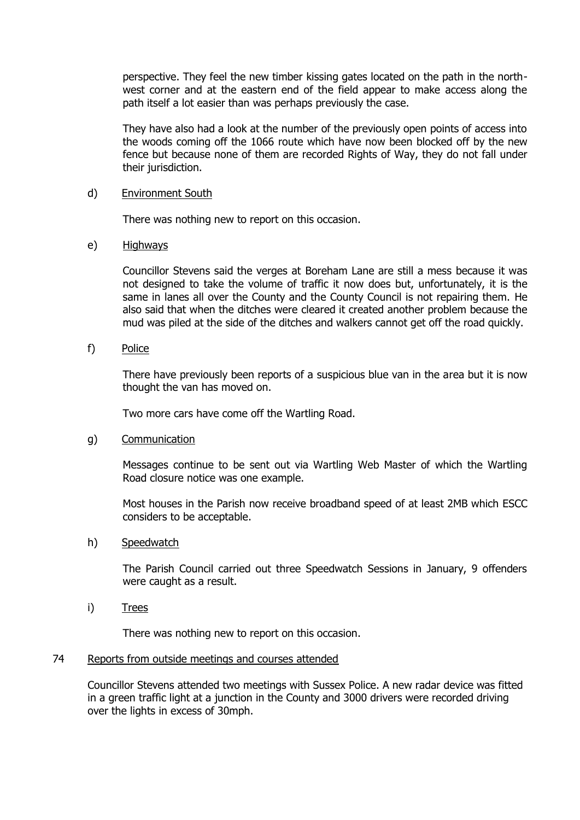perspective. They feel the new timber kissing gates located on the path in the northwest corner and at the eastern end of the field appear to make access along the path itself a lot easier than was perhaps previously the case.

They have also had a look at the number of the previously open points of access into the woods coming off the 1066 route which have now been blocked off by the new fence but because none of them are recorded Rights of Way, they do not fall under their jurisdiction.

## d) Environment South

There was nothing new to report on this occasion.

## e) Highways

Councillor Stevens said the verges at Boreham Lane are still a mess because it was not designed to take the volume of traffic it now does but, unfortunately, it is the same in lanes all over the County and the County Council is not repairing them. He also said that when the ditches were cleared it created another problem because the mud was piled at the side of the ditches and walkers cannot get off the road quickly.

# f) Police

There have previously been reports of a suspicious blue van in the area but it is now thought the van has moved on.

Two more cars have come off the Wartling Road.

### g) Communication

Messages continue to be sent out via Wartling Web Master of which the Wartling Road closure notice was one example.

Most houses in the Parish now receive broadband speed of at least 2MB which ESCC considers to be acceptable.

### h) Speedwatch

The Parish Council carried out three Speedwatch Sessions in January, 9 offenders were caught as a result.

i) Trees

There was nothing new to report on this occasion.

### 74 Reports from outside meetings and courses attended

Councillor Stevens attended two meetings with Sussex Police. A new radar device was fitted in a green traffic light at a junction in the County and 3000 drivers were recorded driving over the lights in excess of 30mph.